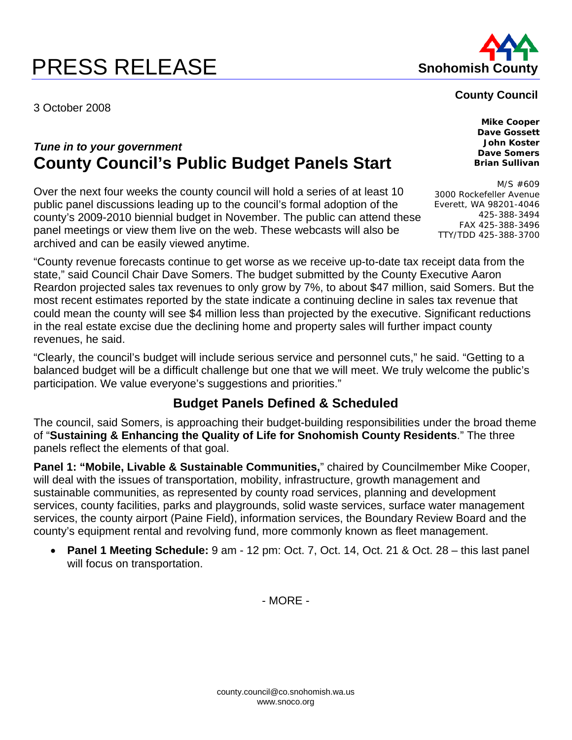# **PRESS RELEASE Shohomish County**

3 October 2008

## *Tune in to your government*  **County Council's Public Budget Panels Start**

Over the next four weeks the county council will hold a series of at least 10 public panel discussions leading up to the council's formal adoption of the county's 2009-2010 biennial budget in November. The public can attend these panel meetings or view them live on the web. These webcasts will also be archived and can be easily viewed anytime.

"County revenue forecasts continue to get worse as we receive up-to-date tax receipt data from the state," said Council Chair Dave Somers. The budget submitted by the County Executive Aaron Reardon projected sales tax revenues to only grow by 7%, to about \$47 million, said Somers. But the most recent estimates reported by the state indicate a continuing decline in sales tax revenue that could mean the county will see \$4 million less than projected by the executive. Significant reductions in the real estate excise due the declining home and property sales will further impact county revenues, he said.

"Clearly, the council's budget will include serious service and personnel cuts," he said. "Getting to a balanced budget will be a difficult challenge but one that we will meet. We truly welcome the public's participation. We value everyone's suggestions and priorities."

#### **Budget Panels Defined & Scheduled**

The council, said Somers, is approaching their budget-building responsibilities under the broad theme of "**Sustaining & Enhancing the Quality of Life for Snohomish County Residents**." The three panels reflect the elements of that goal.

**Panel 1: "Mobile, Livable & Sustainable Communities,**" chaired by Councilmember Mike Cooper, will deal with the issues of transportation, mobility, infrastructure, growth management and sustainable communities, as represented by county road services, planning and development services, county facilities, parks and playgrounds, solid waste services, surface water management services, the county airport (Paine Field), information services, the Boundary Review Board and the county's equipment rental and revolving fund, more commonly known as fleet management.

• **Panel 1 Meeting Schedule:** 9 am - 12 pm: Oct. 7, Oct. 14, Oct. 21 & Oct. 28 – this last panel will focus on transportation.

- MORE -

### **County Council**

**Mike Cooper Dave Gossett John Koster Dave Somers Brian Sullivan** 

M/S #609 3000 Rockefeller Avenue Everett, WA 98201-4046 425-388-3494 FAX 425-388-3496 TTY/TDD 425-388-3700